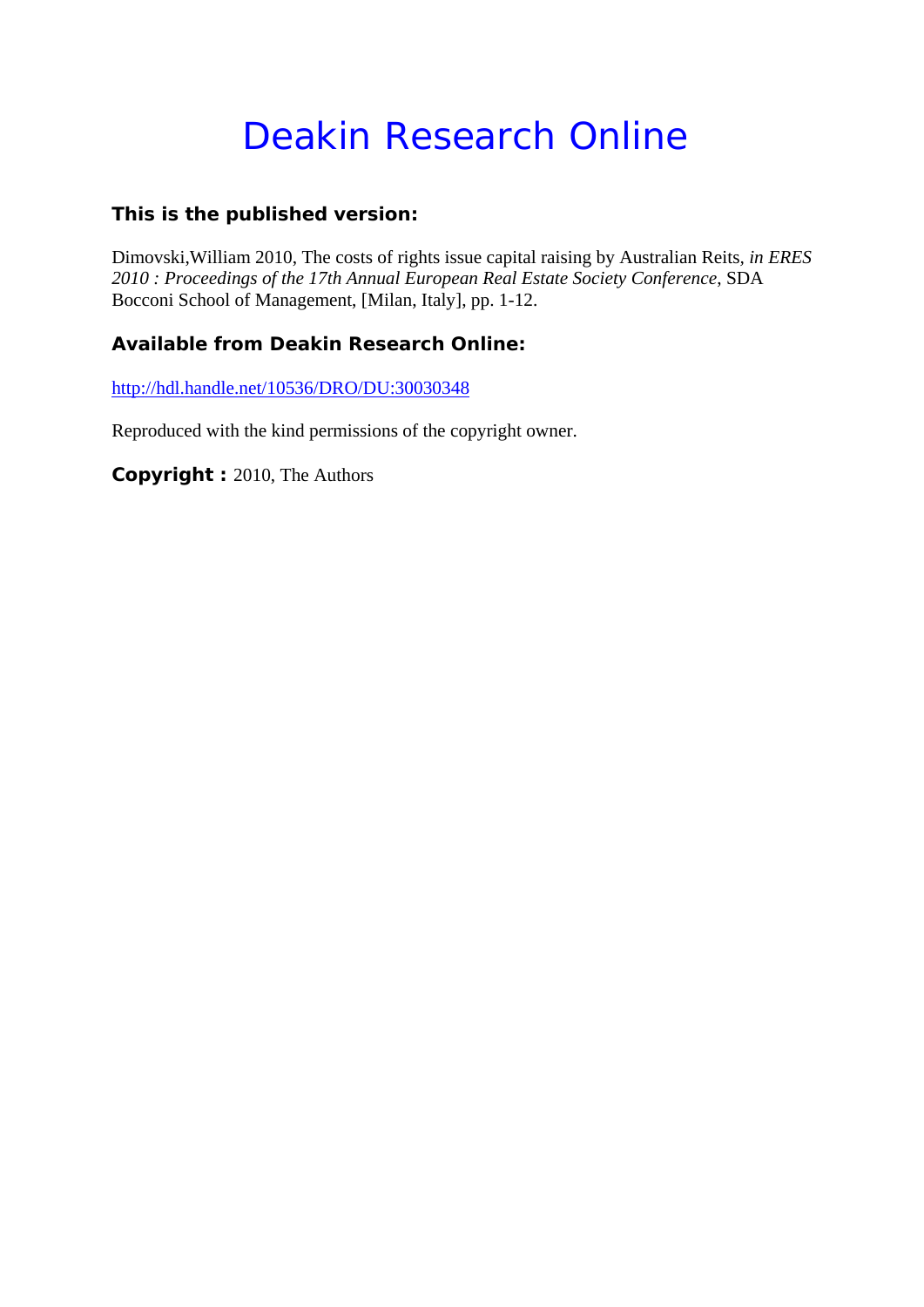#### Deakin Research Online

#### **This is the published version:**

Dimovski,William 2010, The costs of rights issue capital raising by Australian Reits*, in ERES 2010 : Proceedings of the 17th Annual European Real Estate Society Conference*, SDA Bocconi School of Management, [Milan, Italy], pp. 1-12.

#### **Available from Deakin Research Online:**

http://hdl.handle.net/10536/DRO/DU:30030348

Reproduced with the kind permissions of the copyright owner.

**Copyright :** 2010, The Authors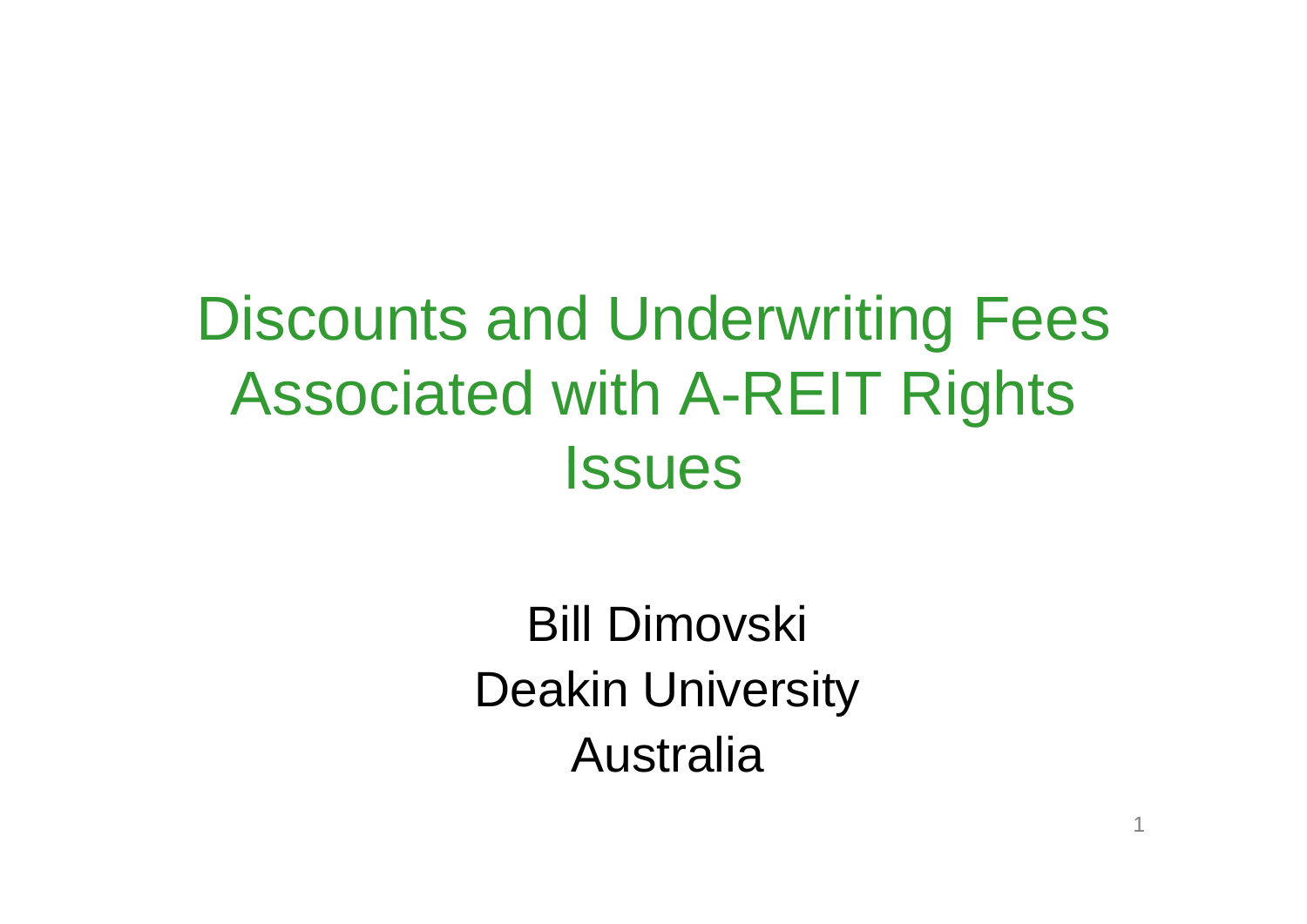#### Discounts and Underwriting Fees Associated with A-REIT Rights **Issues**

Bill Dimovski Deakin University Australia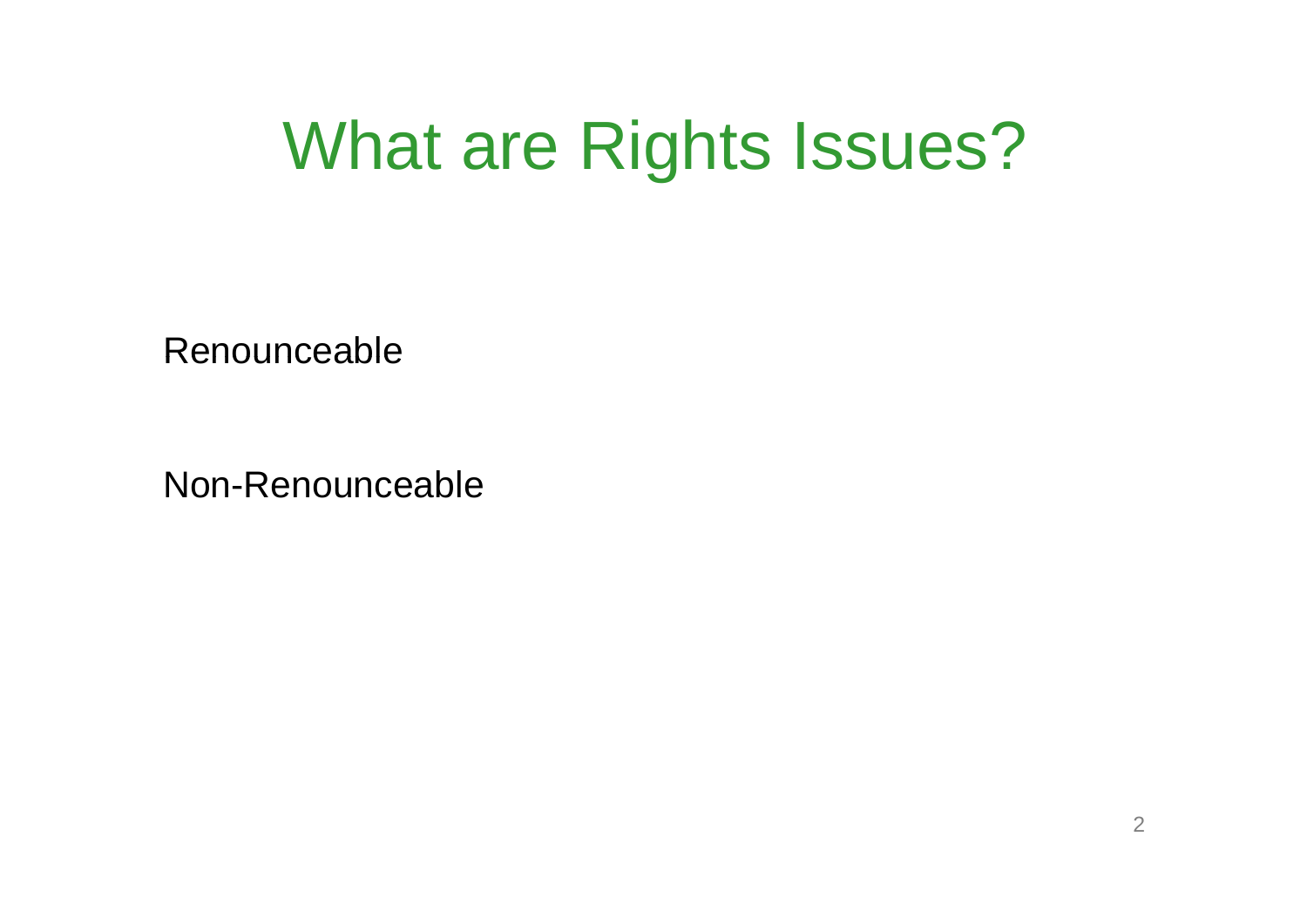### What are Rights Issues?

Renounceable

Non-Renounceable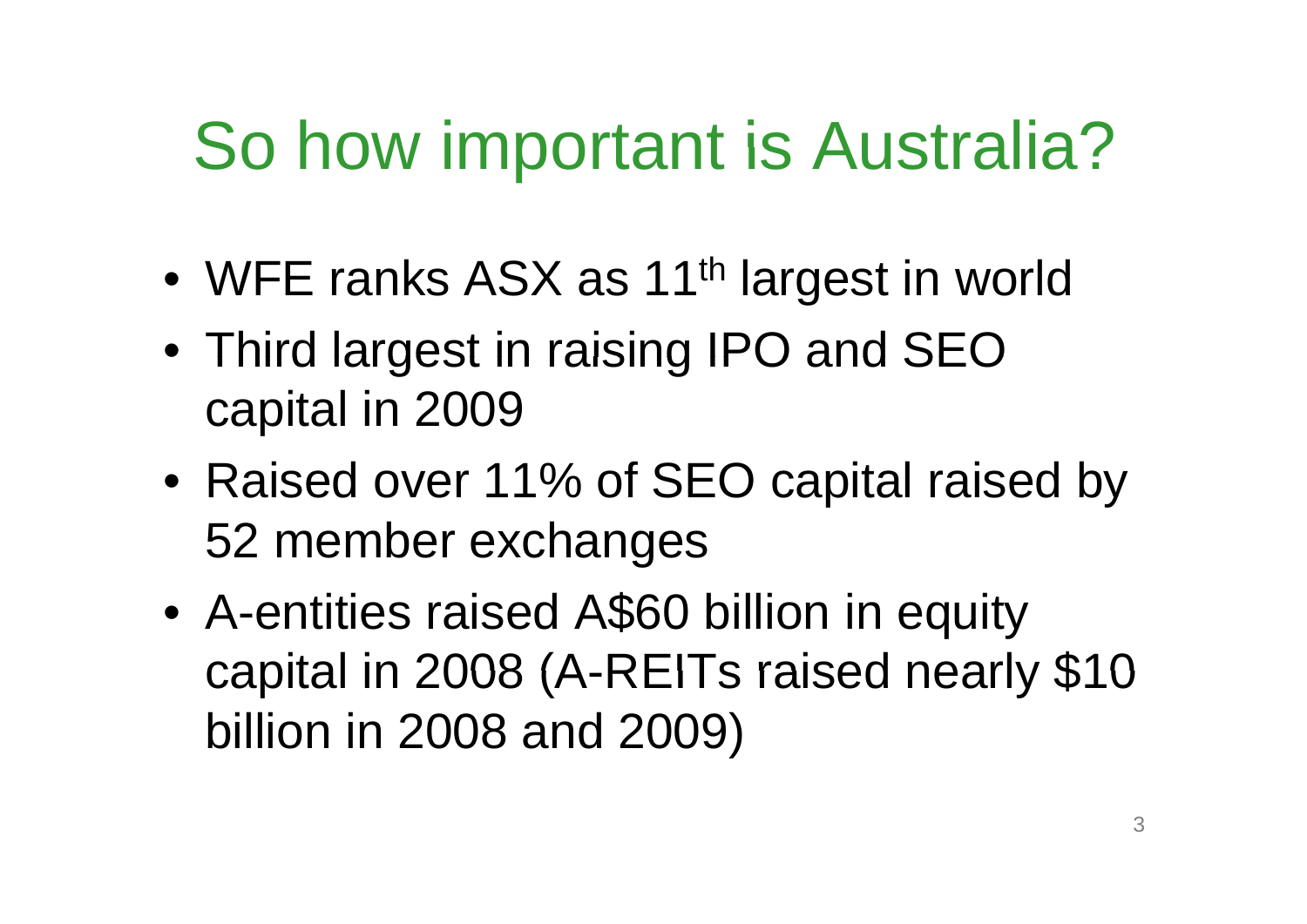## So how important is Australia?

- •WFE ranks ASX as 11<sup>th</sup> largest in world
- Third largest in raising IPO and SEO capital in 2009
- Raised over 11% of SEO capital raised by 52 member exchan ges
- $\bullet$  A-entities raised A\$60 billion in equity capital in 2008 (A-REITs raised nearly \$10 billion in 2008 and 2009)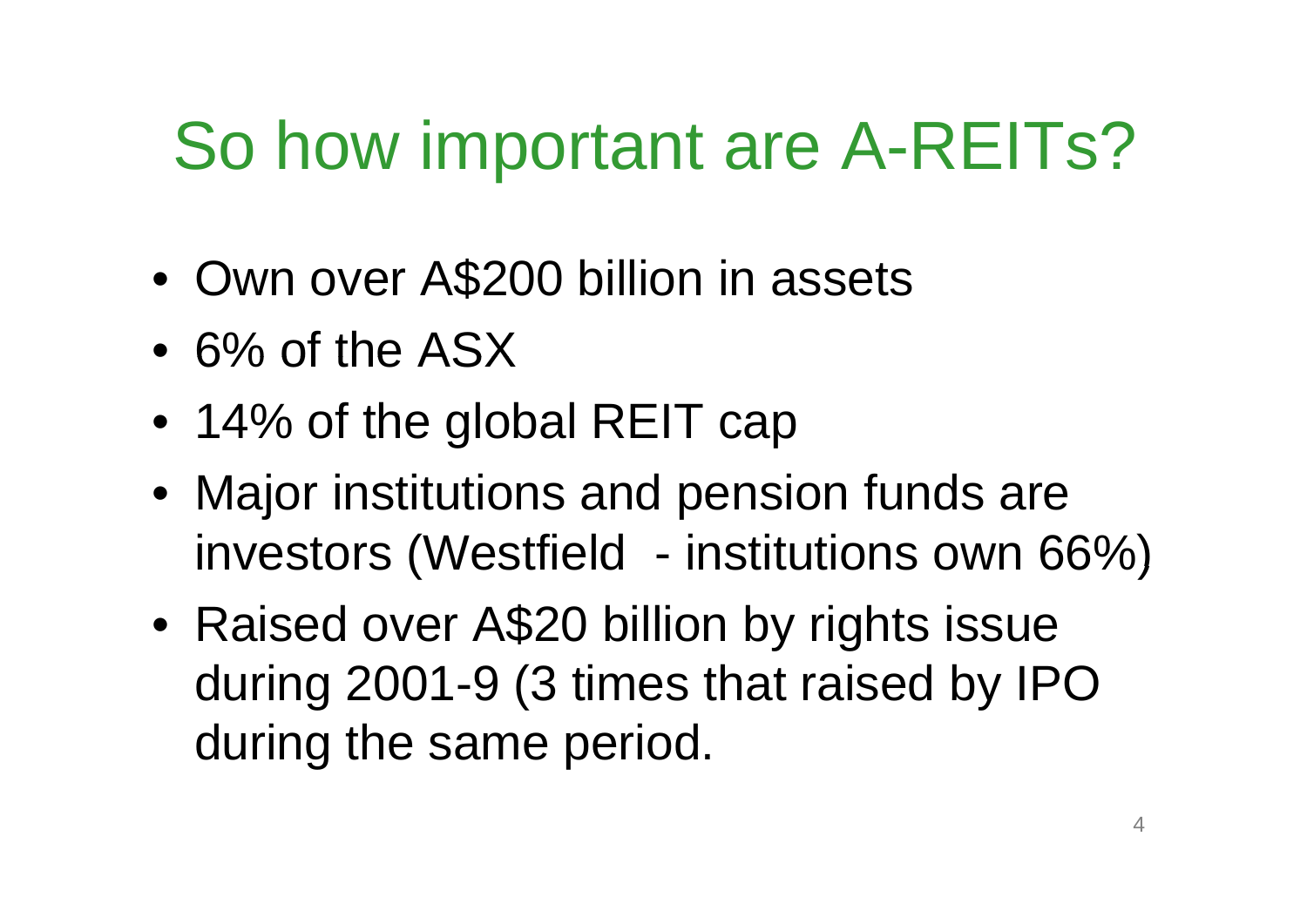### So how important are A-REITs?

- •Own over A\$200 billion in assets
- $\bullet$  6% of the ASX
- 14% of the global REIT cap
- Major institutions and pension funds are investors (Westfield institutions own 66%)
- $\bullet$  Raised over A\$20 billion by rights issue during 2001-9 (3 times that raised by IPO during the same period.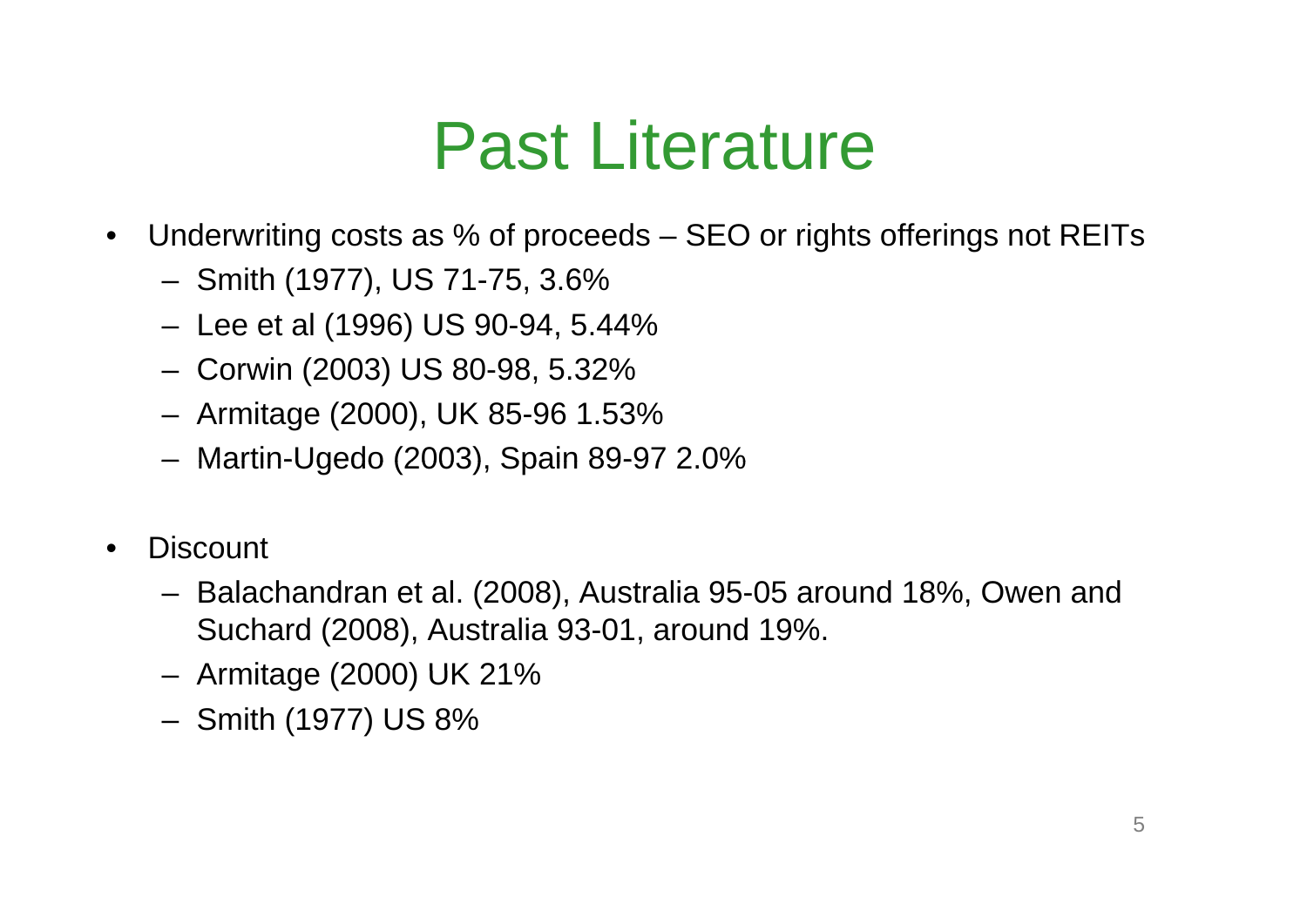#### Past Literature

- •Underwriting costs as % of proceeds – SEO or rights offerings not REITs
	- –Smith (1977), US 71-75, 3.6%
	- –Lee et al (1996) US 90-94, 5.44%
	- –Corwin (2003) US 80-98, 5.32%
	- –Armitage (2000), UK 85-96 1.53%
	- Martin-Ugedo (2003), Spain 89-97 2.0%
- •**Discount** 
	- – Balachandran et al. (2008), Australia 95-05 around 18%, Owen and Suchard (2008), Australia 93-01, around 19%.
	- –– Armitage (2000) UK 21%
	- Smith (1977) US 8%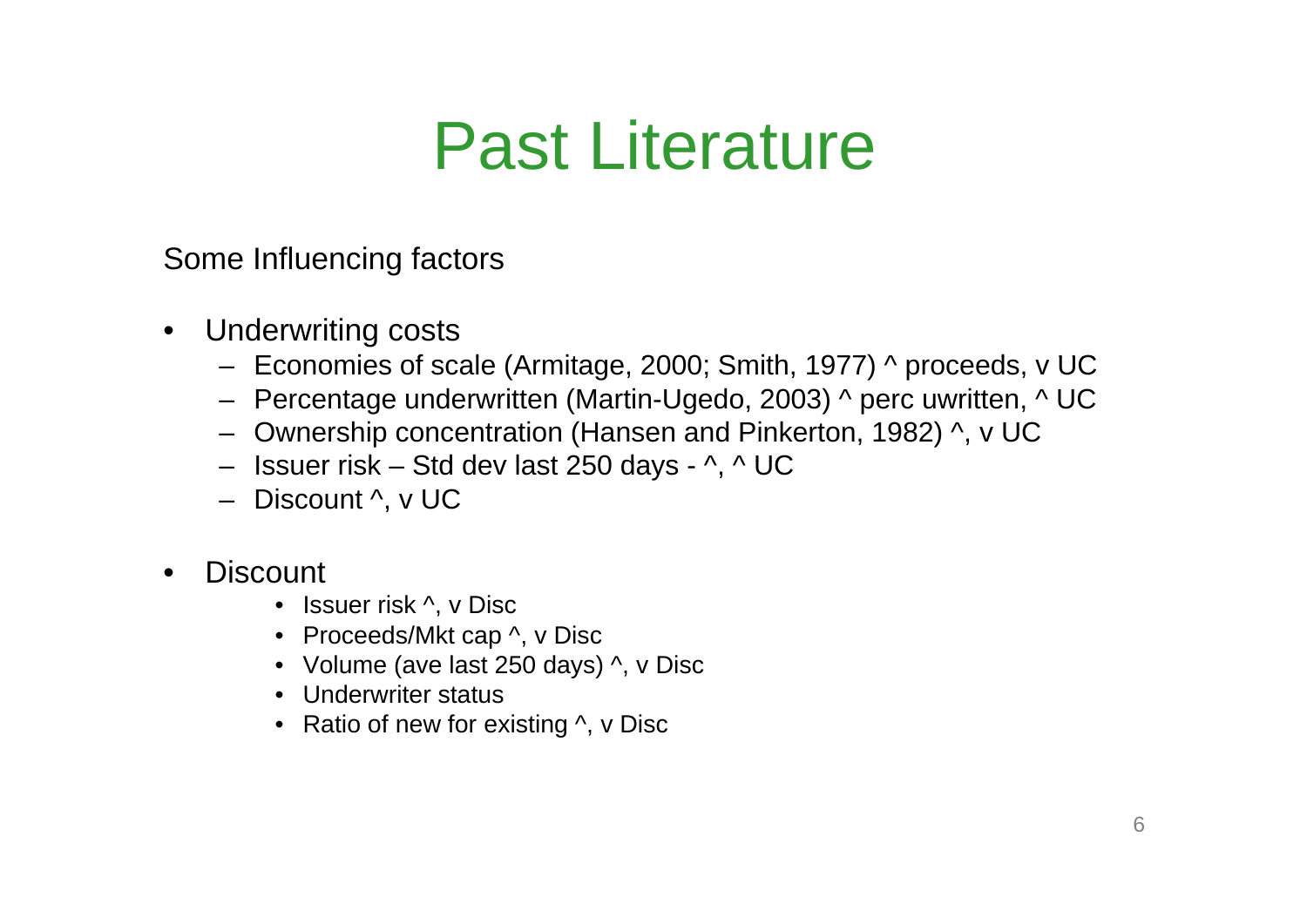#### Past Literature

Some Influencing factors

- Underwriting costs
	- Economies of scale (Armitage, 2000; Smith, 1977) ^ proceeds, v UC
	- Percentage underwritten (Martin-Ugedo, 2003) ^ perc uwritten, ^ UC
	- Ownership concentration (Hansen and Pinkerton, 1982) ^, v UC
	- Issuer risk Std dev last 250 days ^, ^ UC
	- Discount ^, v UC
- •**Discount** 
	- Issuer risk ^, v Disc
	- Proceeds/Mkt cap ^, v Disc
	- Volume (ave last 250 days) ^, v Disc
	- Underwriter status
	- Ratio of new for existing ^, v Disc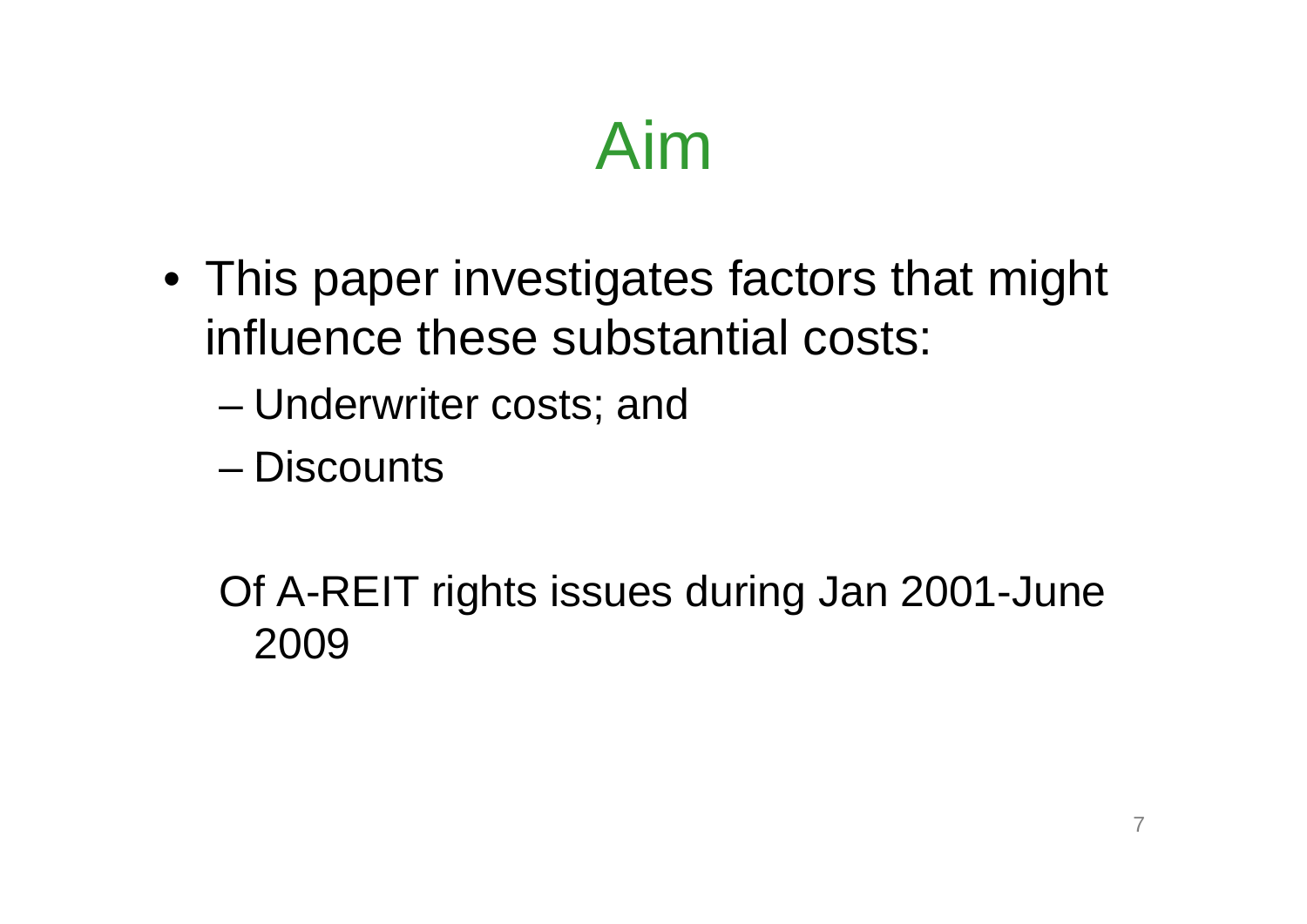## Aim

- This paper investigates factors that might influence these substantial costs:
	- –Underwriter costs; and
	- Discounts

Of A-REIT rights issues during Jan 2001-June 2009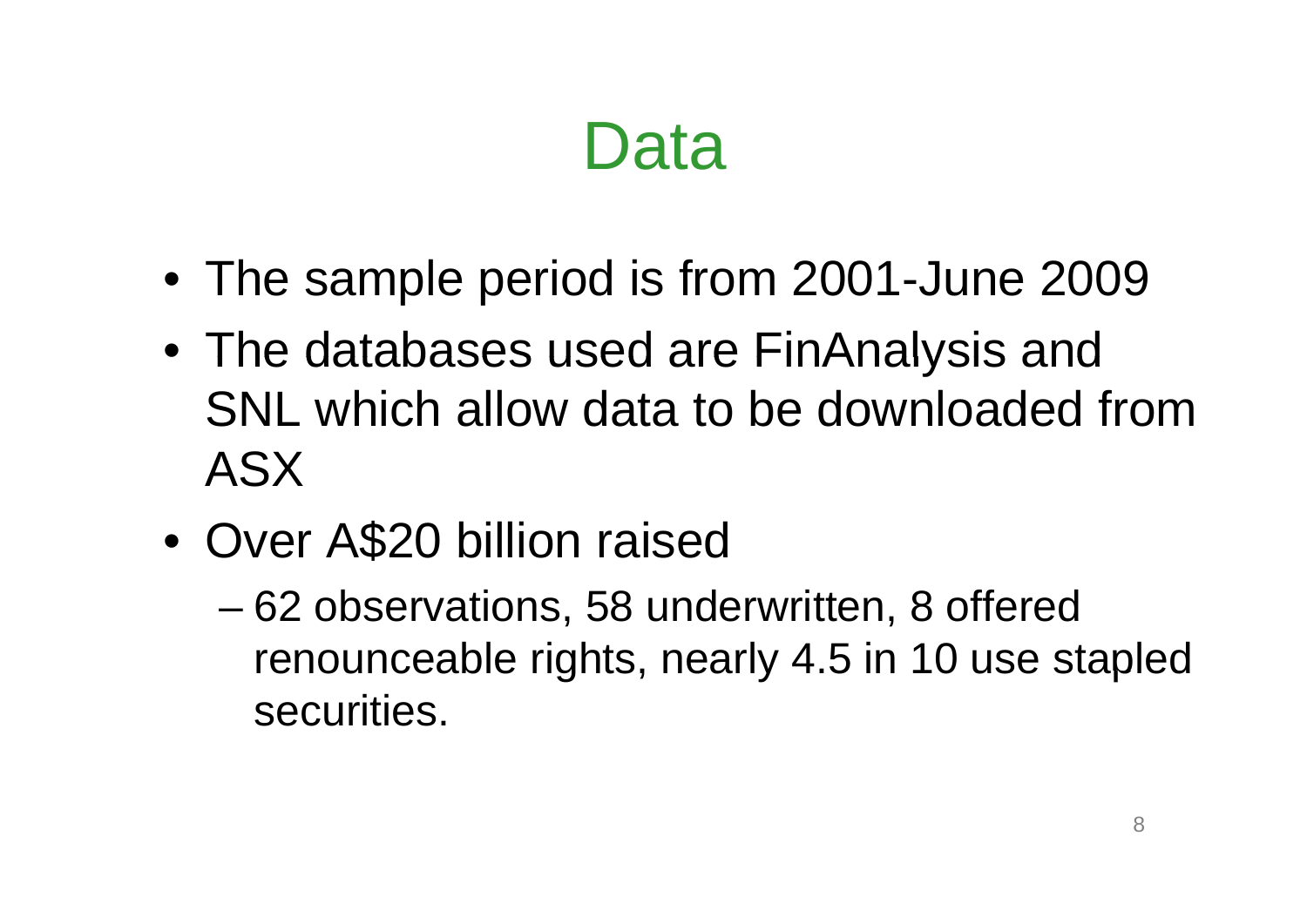#### Data

- The sample period is from 2001-June 2009
- The databases used are FinAnalysis and SNL which allow data to be downloaded from ASX
- $\bullet$  Over A\$20 billion raised
	- – 62 observations, 58 underwritten, 8 offered renounceable rights, nearly 4.5 in 10 use stapled securities.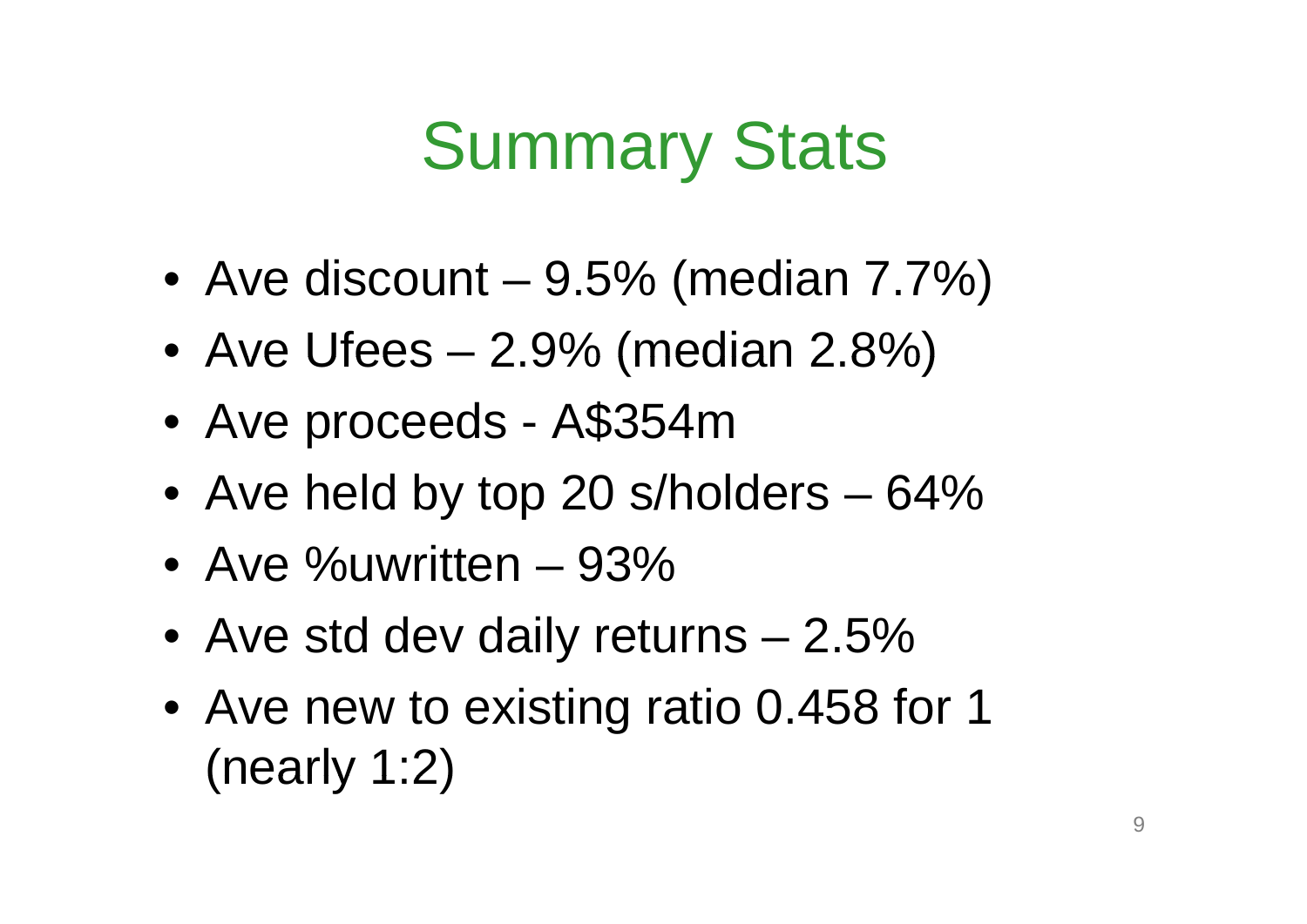### Summary Stats

- Ave discount –9.5% (median 7.7%)
- Ave Ufees –2 9% (median 2 8%) 2.9% 2.8%)
- $\bullet$ Ave proceeds - A\$354m
- Ave held by top 20 s/holders 64%
- Ave %uwritten –93%
- Ave std dev daily returns 2.5%
- Ave new to existing ratio 0.458 for 1 (nearly 1:2)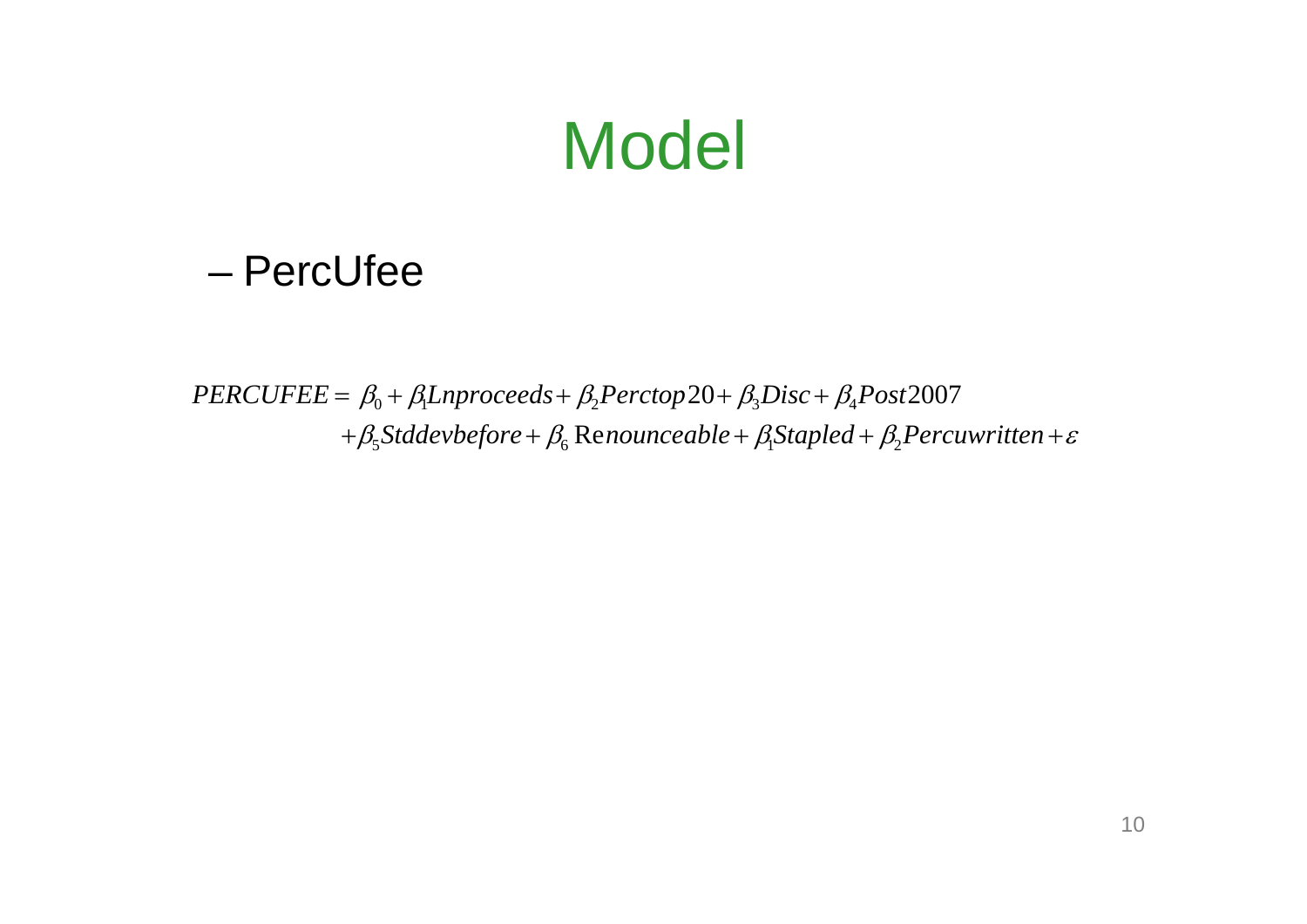#### Model

#### – PercUfee

 $PERCUFFE = \beta_0 + \beta_1$ Lnproceeds+ $\beta_2$ Perctop20+ $\beta_3$ Disc+ $\beta_4$ Post2007  $+\beta_{5}$ Stddevbefore +  $\beta_{6}$  Renounceable +  $\beta_{1}$ Stapled +  $\beta_{2}$ Percuwritten +  $\varepsilon$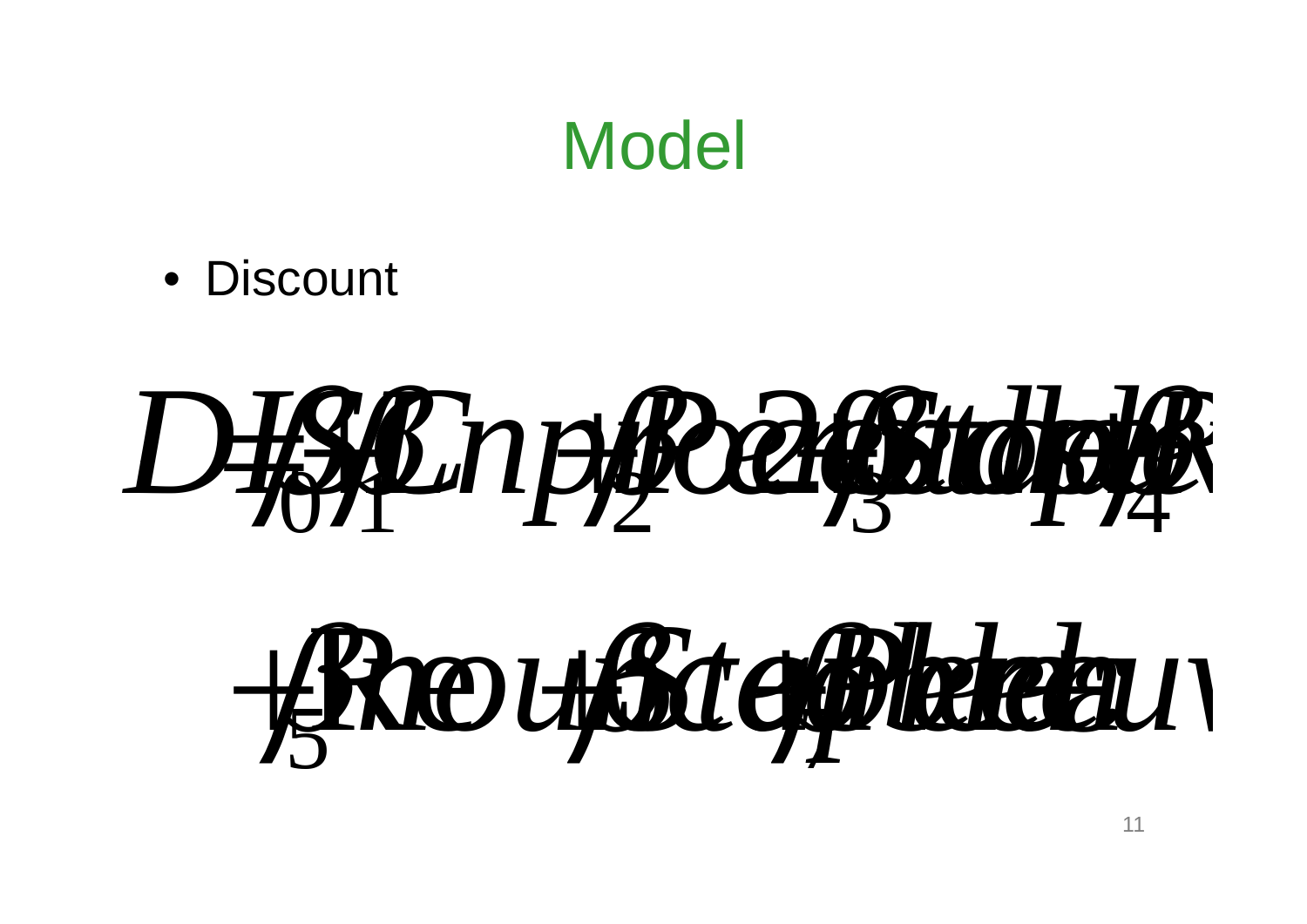#### **Model**

• Discount

# *DISC* 01*Lnproceeds* 2*Perctop* 203*Stddev re*4*<sup>R</sup>*

# Re*nounceable* 6*Stapled Percuw en* 5Re <sup>7</sup>